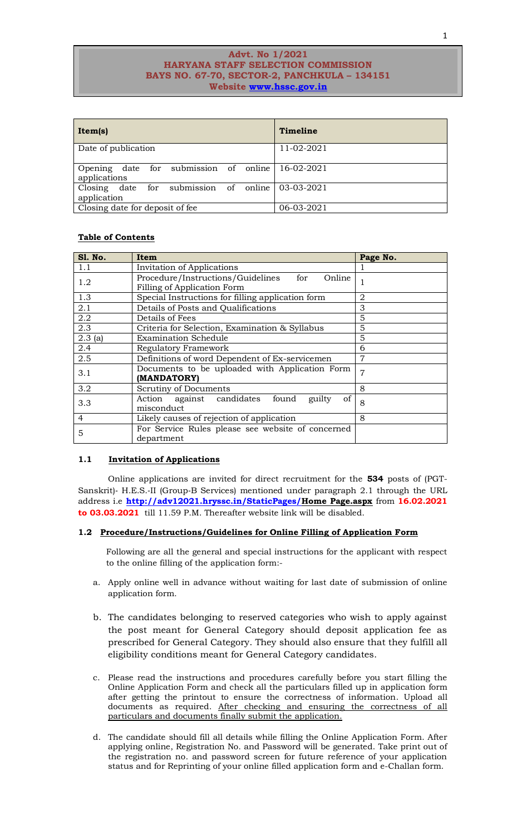## **Advt. No 1/2021 HARYANA STAFF SELECTION COMMISSION BAYS NO. 67-70, SECTOR-2, PANCHKULA – 134151 Website [www.hssc.gov.in](http://www.hssc.gov.in/)**

| Item(s)                                               | Timeline   |
|-------------------------------------------------------|------------|
| Date of publication                                   | 11-02-2021 |
| Opening date for submission of online<br>applications | 16-02-2021 |
| Closing date for submission of online<br>application  | 03-03-2021 |
| Closing date for deposit of fee.                      | 06-03-2021 |

## **Table of Contents**

| <b>S1. No.</b> | <b>Item</b>                                        | Page No.       |
|----------------|----------------------------------------------------|----------------|
| 1.1            | <b>Invitation of Applications</b>                  |                |
| 1.2            | Procedure/Instructions/Guidelines<br>for<br>Online | 1              |
|                | Filling of Application Form                        |                |
| 1.3            | Special Instructions for filling application form  | 2              |
| 2.1            | Details of Posts and Qualifications                | 3              |
| 2.2            | Details of Fees                                    | 5              |
| 2.3            | Criteria for Selection, Examination & Syllabus     | 5              |
| 2.3(a)         | <b>Examination Schedule</b>                        | 5              |
| 2.4            | Regulatory Framework                               | 6              |
| 2.5            | Definitions of word Dependent of Ex-servicemen     | $\overline{7}$ |
| 3.1            | Documents to be uploaded with Application Form     | $\overline{7}$ |
|                | (MANDATORY)                                        |                |
| 3.2            | Scrutiny of Documents                              | 8              |
| 3.3            | Action against candidates<br>of<br>found<br>guilty | 8              |
|                | misconduct                                         |                |
| $\overline{4}$ | Likely causes of rejection of application          | 8              |
| 5              | For Service Rules please see website of concerned  |                |
|                | department                                         |                |

## **1.1 Invitation of Applications**

Online applications are invited for direct recruitment for the **534** posts of (PGT-Sanskrit)‐ H.E.S.‐II (Group‐B Services) mentioned under paragraph 2.1 through the URL address i.e **[http://adv12021.hryssc.in/StaticPages/H](http://adv12021.hryssc.in/StaticPages/)ome Page.aspx** from **16.02.2021 to 03.03.2021** till 11.59 P.M. Thereafter website link will be disabled.

## **1.2 Procedure/Instructions/Guidelines for Online Filling of Application Form**

Following are all the general and special instructions for the applicant with respect to the online filling of the application form:-

- a. Apply online well in advance without waiting for last date of submission of online application form.
- b. The candidates belonging to reserved categories who wish to apply against the post meant for General Category should deposit application fee as prescribed for General Category. They should also ensure that they fulfill all eligibility conditions meant for General Category candidates.
- c. Please read the instructions and procedures carefully before you start filling the Online Application Form and check all the particulars filled up in application form after getting the printout to ensure the correctness of information. Upload all documents as required. After checking and ensuring the correctness of all particulars and documents finally submit the application.
- d. The candidate should fill all details while filling the Online Application Form. After applying online, Registration No. and Password will be generated. Take print out of the registration no. and password screen for future reference of your application status and for Reprinting of your online filled application form and e-Challan form.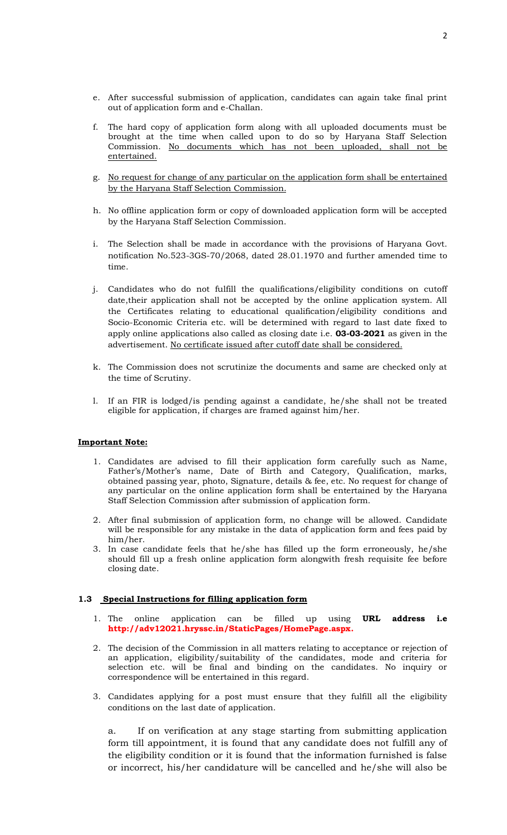- e. After successful submission of application, candidates can again take final print out of application form and e-Challan.
- f. The hard copy of application form along with all uploaded documents must be brought at the time when called upon to do so by Haryana Staff Selection Commission. No documents which has not been uploaded, shall not be entertained.
- g. No request for change of any particular on the application form shall be entertained by the Haryana Staff Selection Commission.
- h. No offline application form or copy of downloaded application form will be accepted by the Haryana Staff Selection Commission.
- The Selection shall be made in accordance with the provisions of Haryana Govt. notification No.523-3GS-70/2068, dated 28.01.1970 and further amended time to time.
- j. Candidates who do not fulfill the qualifications/eligibility conditions on cutoff date,their application shall not be accepted by the online application system. All the Certificates relating to educational qualification/eligibility conditions and Socio-Economic Criteria etc. will be determined with regard to last date fixed to apply online applications also called as closing date i.e. **03-03-2021** as given in the advertisement. No certificate issued after cutoff date shall be considered.
- k. The Commission does not scrutinize the documents and same are checked only at the time of Scrutiny.
- l. If an FIR is lodged/is pending against a candidate, he/she shall not be treated eligible for application, if charges are framed against him/her.

## **Important Note:**

- 1. Candidates are advised to fill their application form carefully such as Name, Father's/Mother's name, Date of Birth and Category, Qualification, marks, obtained passing year, photo, Signature, details & fee, etc. No request for change of any particular on the online application form shall be entertained by the Haryana Staff Selection Commission after submission of application form.
- 2. After final submission of application form, no change will be allowed. Candidate will be responsible for any mistake in the data of application form and fees paid by him/her.
- 3. In case candidate feels that he/she has filled up the form erroneously, he/she should fill up a fresh online application form alongwith fresh requisite fee before closing date.

## **1.3 Special Instructions for filling application form**

- 1. The online application can be filled up using **URL address i.e http://adv12021.hryssc.in/StaticPages/HomePage.aspx.**
- 2. The decision of the Commission in all matters relating to acceptance or rejection of an application, eligibility/suitability of the candidates, mode and criteria for selection etc. will be final and binding on the candidates. No inquiry or correspondence will be entertained in this regard.
- 3. Candidates applying for a post must ensure that they fulfill all the eligibility conditions on the last date of application.

a. If on verification at any stage starting from submitting application form till appointment, it is found that any candidate does not fulfill any of the eligibility condition or it is found that the information furnished is false or incorrect, his/her candidature will be cancelled and he/she will also be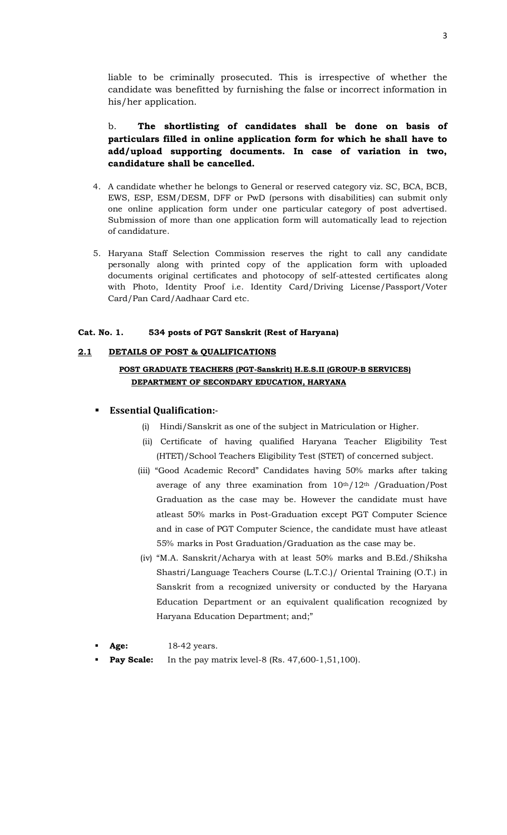liable to be criminally prosecuted. This is irrespective of whether the candidate was benefitted by furnishing the false or incorrect information in his/her application.

# b. **The shortlisting of candidates shall be done on basis of particulars filled in online application form for which he shall have to add/upload supporting documents. In case of variation in two, candidature shall be cancelled.**

- 4. A candidate whether he belongs to General or reserved category viz. SC, BCA, BCB, EWS, ESP, ESM/DESM, DFF or PwD (persons with disabilities) can submit only one online application form under one particular category of post advertised. Submission of more than one application form will automatically lead to rejection of candidature.
- 5. Haryana Staff Selection Commission reserves the right to call any candidate personally along with printed copy of the application form with uploaded documents original certificates and photocopy of self-attested certificates along with Photo, Identity Proof i.e. Identity Card/Driving License/Passport/Voter Card/Pan Card/Aadhaar Card etc.

# **Cat. No. 1. 534 posts of PGT Sanskrit (Rest of Haryana)**

# **2.1 DETAILS OF POST & QUALIFICATIONS**

# **POST GRADUATE TEACHERS (PGT-Sanskrit) H.E.S.II (GROUP-B SERVICES) DEPARTMENT OF SECONDARY EDUCATION, HARYANA**

# **Essential Qualification:**-

- (i) Hindi/Sanskrit as one of the subject in Matriculation or Higher.
- (ii) Certificate of having qualified Haryana Teacher Eligibility Test (HTET)/School Teachers Eligibility Test (STET) of concerned subject.
- (iii) "Good Academic Record" Candidates having 50% marks after taking average of any three examination from  $10<sup>th</sup>/12<sup>th</sup>$  /Graduation/Post Graduation as the case may be. However the candidate must have atleast 50% marks in Post-Graduation except PGT Computer Science and in case of PGT Computer Science, the candidate must have atleast 55% marks in Post Graduation/Graduation as the case may be.
- (iv) "M.A. Sanskrit/Acharya with at least 50% marks and B.Ed./Shiksha Shastri/Language Teachers Course (L.T.C.)/ Oriental Training (O.T.) in Sanskrit from a recognized university or conducted by the Haryana Education Department or an equivalent qualification recognized by Haryana Education Department; and;"
- **Age:** 18-42 years.
- **Pay Scale:** In the pay matrix level-8 (Rs. 47,600-1,51,100).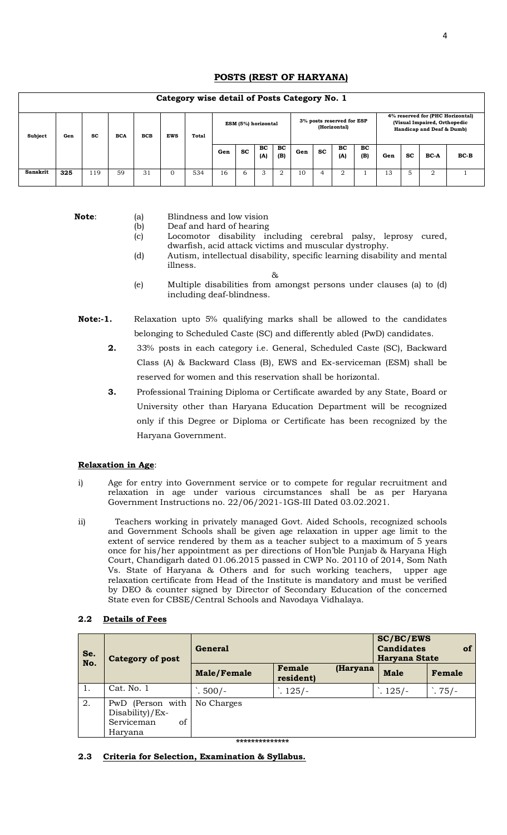# **POSTS (REST OF HARYANA)**

# **Category wise detail of Posts Category No. 1**

| Subject         | Gen | <b>SC</b> | <b>BCA</b> | <b>BCB</b> | <b>EWS</b> | Total | Category wise detail of Fosts Category No. 1<br>ESM (5%) horizontal |    |           |           |     | 3% posts reserved for ESP<br>(Horizontal) |                  | 4% reserved for (PHC Horizontal)<br>(Visual Impaired, Orthopedic<br>Handicap and Deaf & Dumb) |     |           |             |        |
|-----------------|-----|-----------|------------|------------|------------|-------|---------------------------------------------------------------------|----|-----------|-----------|-----|-------------------------------------------|------------------|-----------------------------------------------------------------------------------------------|-----|-----------|-------------|--------|
|                 |     |           |            |            |            |       | Gen                                                                 | SC | BC<br>(A) | BC<br>(B) | Gen | SC                                        | <b>BC</b><br>(A) | BC<br>(B)                                                                                     | Gen | <b>SC</b> | <b>BC-A</b> | $BC-B$ |
| <b>Sanskrit</b> | 325 | 119       | 59         | 31         | 0          | 534   | 16                                                                  | 6  | 3         | 2         | 10  | $\overline{a}$                            | C.               |                                                                                               | 13  | 5         | 2           |        |

- **Note:** (a) Blindness and low vision
	- (b) Deaf and hard of hearing
	- (c) Locomotor disability including cerebral palsy, leprosy cured, dwarfish, acid attack victims and muscular dystrophy.
	- (d) Autism, intellectual disability, specific learning disability and mental illness.
	- & (e) Multiple disabilities from amongst persons under clauses (a) to (d) including deaf-blindness.
- **Note:-1.** Relaxation upto 5% qualifying marks shall be allowed to the candidates belonging to Scheduled Caste (SC) and differently abled (PwD) candidates.
	- **2.** 33% posts in each category i.e. General, Scheduled Caste (SC), Backward Class (A) & Backward Class (B), EWS and Ex-serviceman (ESM) shall be reserved for women and this reservation shall be horizontal.
	- **3.** Professional Training Diploma or Certificate awarded by any State, Board or University other than Haryana Education Department will be recognized only if this Degree or Diploma or Certificate has been recognized by the Haryana Government.

## **Relaxation in Age**:

- i) Age for entry into Government service or to compete for regular recruitment and relaxation in age under various circumstances shall be as per Haryana Government Instructions no. 22/06/2021-1GS-III Dated 03.02.2021.
- ii) Teachers working in privately managed Govt. Aided Schools, recognized schools and Government Schools shall be given age relaxation in upper age limit to the extent of service rendered by them as a teacher subject to a maximum of 5 years once for his/her appointment as per directions of Hon'ble Punjab & Haryana High Court, Chandigarh dated 01.06.2015 passed in CWP No. 20110 of 2014, Som Nath Vs. State of Haryana & Others and for such working teachers, upper age relaxation certificate from Head of the Institute is mandatory and must be verified by DEO & counter signed by Director of Secondary Education of the concerned State even for CBSE/Central Schools and Navodaya Vidhalaya.

## **2.2 Details of Fees**

| Se. | <b>Category of post</b>                                            | <b>General</b> | <b>SC/BC/EWS</b><br>of<br><b>Candidates</b><br>Haryana State |          |                 |         |
|-----|--------------------------------------------------------------------|----------------|--------------------------------------------------------------|----------|-----------------|---------|
| No. |                                                                    | Male/Female    | Female<br>resident)                                          | (Haryana | <b>Male</b>     | Female  |
|     | Cat. No. 1                                                         | $\cdot$ 500/-  | $\cdot$ . 125/-                                              |          | $\cdot$ . 125/- | $.75/-$ |
| 2.  | PwD (Person with<br>Disability)/Ex-<br>Serviceman<br>of<br>Haryana | No Charges     |                                                              |          |                 |         |
|     |                                                                    | ************** |                                                              |          |                 |         |

## **2.3 Criteria for Selection, Examination & Syllabus.**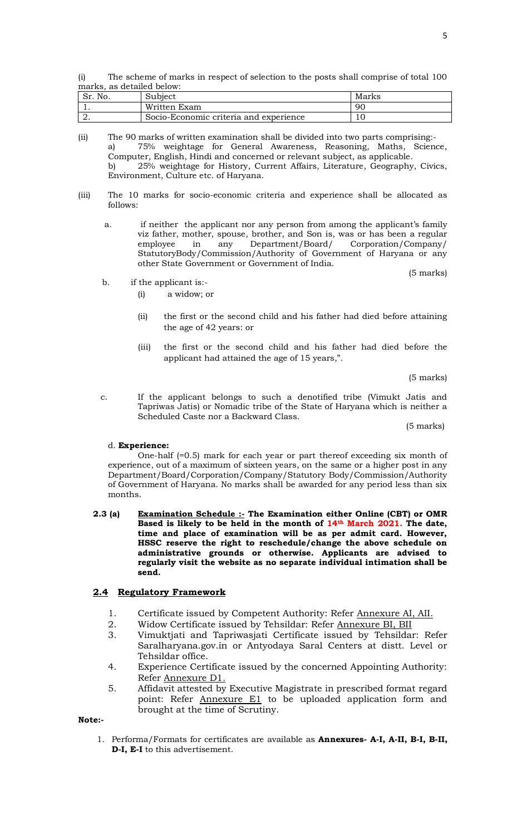(i) The scheme of marks in respect of selection to the posts shall comprise of total 100 marks, as detailed below:

| No.<br>$\sim$<br>J۱. | Subiect                                | Marks |
|----------------------|----------------------------------------|-------|
|                      | Written Exam                           | 90    |
|                      | Socio-Economic criteria and experience |       |

<sup>(</sup>ii) The 90 marks of written examination shall be divided into two parts comprising: a) 75% weightage for General Awareness, Reasoning, Maths, Science, Computer, English, Hindi and concerned or relevant subject, as applicable. b) 25% weightage for History, Current Affairs, Literature, Geography, Civics, Environment, Culture etc. of Haryana.

- (iii) The 10 marks for socio-economic criteria and experience shall be allocated as follows:
	- a. if neither the applicant nor any person from among the applicant's family viz father, mother, spouse, brother, and Son is, was or has been a regular employee in any Department/Board/ Corporation/Company/ StatutoryBody/Commission/Authority of Government of Haryana or any other State Government or Government of India. (5 marks)
	- b. if the applicant is:-
		- (i) a widow; or
		- (ii) the first or the second child and his father had died before attaining the age of 42 years: or
		- (iii) the first or the second child and his father had died before the applicant had attained the age of 15 years,".

(5 marks)

c. If the applicant belongs to such a denotified tribe (Vimukt Jatis and Tapriwas Jatis) or Nomadic tribe of the State of Haryana which is neither a Scheduled Caste nor a Backward Class.

(5 marks)

#### d. **Experience:**

One-half (=0.5) mark for each year or part thereof exceeding six month of experience, out of a maximum of sixteen years, on the same or a higher post in any Department/Board/Corporation/Company/Statutory Body/Commission/Authority of Government of Haryana. No marks shall be awarded for any period less than six months.

**2.3 (a) Examination Schedule :- The Examination either Online (CBT) or OMR Based is likely to be held in the month of 14th March 2021. The date, time and place of examination will be as per admit card. However, HSSC reserve the right to reschedule/change the above schedule on administrative grounds or otherwise. Applicants are advised to regularly visit the website as no separate individual intimation shall be send.**

## **2.4 Regulatory Framework**

- 1. Certificate issued by Competent Authority: Refer Annexure AI, AII.
- 2. Widow Certificate issued by Tehsildar: Refer Annexure BI, BII
- 3. Vimuktjati and Tapriwasjati Certificate issued by Tehsildar: Refer Saralharyana.gov.in or Antyodaya Saral Centers at distt. Level or Tehsildar office.
- 4. Experience Certificate issued by the concerned Appointing Authority: Refer Annexure D1.
- 5. Affidavit attested by Executive Magistrate in prescribed format regard point: Refer Annexure E1 to be uploaded application form and brought at the time of Scrutiny.

#### **Note:-**

1. Performa/Formats for certificates are available as **Annexures- A-I, A-II, B-I, B-II, D-I, E-I** to this advertisement.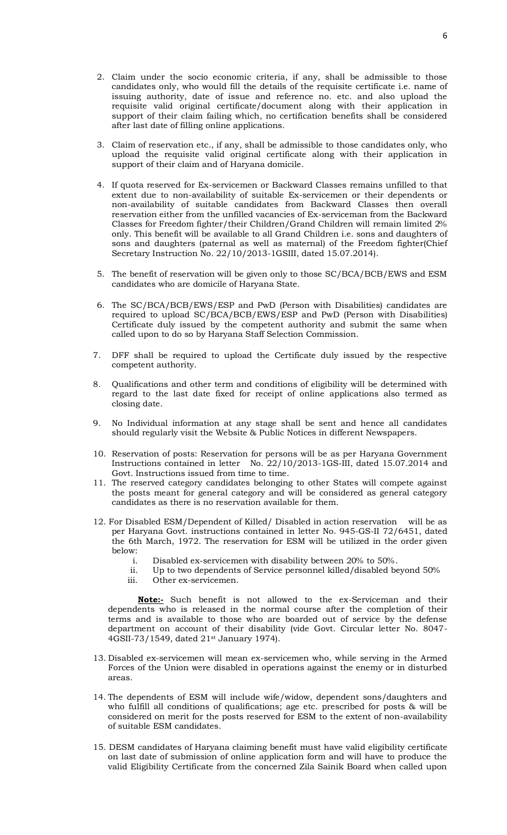- 2. Claim under the socio economic criteria, if any, shall be admissible to those candidates only, who would fill the details of the requisite certificate i.e. name of issuing authority, date of issue and reference no. etc. and also upload the requisite valid original certificate/document along with their application in support of their claim failing which, no certification benefits shall be considered after last date of filling online applications.
- 3. Claim of reservation etc., if any, shall be admissible to those candidates only, who upload the requisite valid original certificate along with their application in support of their claim and of Haryana domicile.
- 4. If quota reserved for Ex-servicemen or Backward Classes remains unfilled to that extent due to non-availability of suitable Ex-servicemen or their dependents or non-availability of suitable candidates from Backward Classes then overall reservation either from the unfilled vacancies of Ex-serviceman from the Backward Classes for Freedom fighter/their Children/Grand Children will remain limited 2% only. This benefit will be available to all Grand Children i.e. sons and daughters of sons and daughters (paternal as well as maternal) of the Freedom fighter(Chief Secretary Instruction No. 22/10/2013-1GSIII, dated 15.07.2014).
- 5. The benefit of reservation will be given only to those SC/BCA/BCB/EWS and ESM candidates who are domicile of Haryana State.
- 6. The SC/BCA/BCB/EWS/ESP and PwD (Person with Disabilities) candidates are required to upload SC/BCA/BCB/EWS/ESP and PwD (Person with Disabilities) Certificate duly issued by the competent authority and submit the same when called upon to do so by Haryana Staff Selection Commission.
- 7. DFF shall be required to upload the Certificate duly issued by the respective competent authority.
- 8. Qualifications and other term and conditions of eligibility will be determined with regard to the last date fixed for receipt of online applications also termed as closing date.
- 9. No Individual information at any stage shall be sent and hence all candidates should regularly visit the Website & Public Notices in different Newspapers.
- 10. Reservation of posts: Reservation for persons will be as per Haryana Government Instructions contained in letter No. 22/10/2013-1GS-III, dated 15.07.2014 and Govt. Instructions issued from time to time.
- 11. The reserved category candidates belonging to other States will compete against the posts meant for general category and will be considered as general category candidates as there is no reservation available for them.
- 12. For Disabled ESM/Dependent of Killed/ Disabled in action reservation will be as per Haryana Govt. instructions contained in letter No. 945-GS-II 72/6451, dated the 6th March, 1972. The reservation for ESM will be utilized in the order given below:
	- i. Disabled ex-servicemen with disability between 20% to 50%.
	- ii. Up to two dependents of Service personnel killed/disabled beyond 50%
	- iii. Other ex-servicemen.

**Note:-** Such benefit is not allowed to the ex-Serviceman and their dependents who is released in the normal course after the completion of their terms and is available to those who are boarded out of service by the defense department on account of their disability (vide Govt. Circular letter No. 8047- 4GSII-73/1549, dated 21st January 1974).

- 13. Disabled ex-servicemen will mean ex-servicemen who, while serving in the Armed Forces of the Union were disabled in operations against the enemy or in disturbed areas.
- 14. The dependents of ESM will include wife/widow, dependent sons/daughters and who fulfill all conditions of qualifications; age etc. prescribed for posts & will be considered on merit for the posts reserved for ESM to the extent of non-availability of suitable ESM candidates.
- 15. DESM candidates of Haryana claiming benefit must have valid eligibility certificate on last date of submission of online application form and will have to produce the valid Eligibility Certificate from the concerned Zila Sainik Board when called upon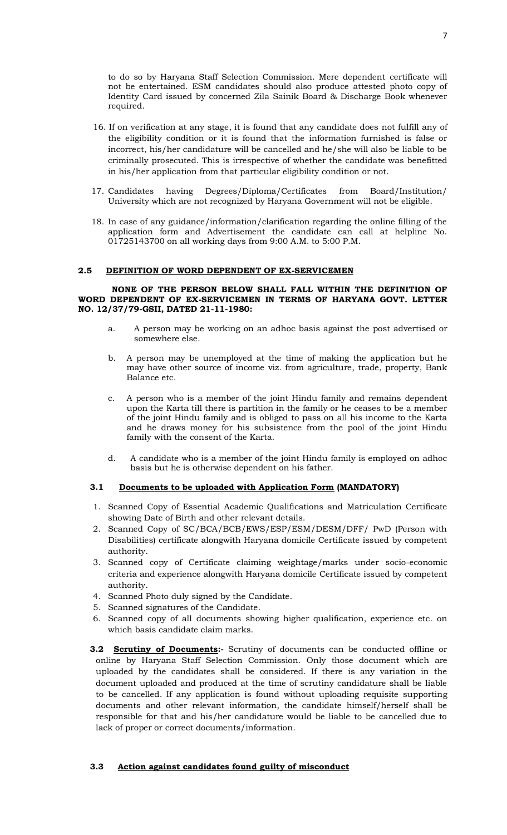to do so by Haryana Staff Selection Commission. Mere dependent certificate will not be entertained. ESM candidates should also produce attested photo copy of Identity Card issued by concerned Zila Sainik Board & Discharge Book whenever required.

- 16. If on verification at any stage, it is found that any candidate does not fulfill any of the eligibility condition or it is found that the information furnished is false or incorrect, his/her candidature will be cancelled and he/she will also be liable to be criminally prosecuted. This is irrespective of whether the candidate was benefitted in his/her application from that particular eligibility condition or not.
- 17. Candidates having Degrees/Diploma/Certificates from Board/Institution/ University which are not recognized by Haryana Government will not be eligible.
- 18. In case of any guidance/information/clarification regarding the online filling of the application form and Advertisement the candidate can call at helpline No. 01725143700 on all working days from 9:00 A.M. to 5:00 P.M.

#### **2.5 DEFINITION OF WORD DEPENDENT OF EX-SERVICEMEN**

#### **NONE OF THE PERSON BELOW SHALL FALL WITHIN THE DEFINITION OF WORD DEPENDENT OF EX-SERVICEMEN IN TERMS OF HARYANA GOVT. LETTER NO. 12/37/79-GSII, DATED 21-11-1980:**

- a. A person may be working on an adhoc basis against the post advertised or somewhere else.
- b. A person may be unemployed at the time of making the application but he may have other source of income viz. from agriculture, trade, property, Bank Balance etc.
- c. A person who is a member of the joint Hindu family and remains dependent upon the Karta till there is partition in the family or he ceases to be a member of the joint Hindu family and is obliged to pass on all his income to the Karta and he draws money for his subsistence from the pool of the joint Hindu family with the consent of the Karta.
- d. A candidate who is a member of the joint Hindu family is employed on adhoc basis but he is otherwise dependent on his father.

#### **3.1 Documents to be uploaded with Application Form (MANDATORY)**

- 1. Scanned Copy of Essential Academic Qualifications and Matriculation Certificate showing Date of Birth and other relevant details.
- 2. Scanned Copy of SC/BCA/BCB/EWS/ESP/ESM/DESM/DFF/ PwD (Person with Disabilities) certificate alongwith Haryana domicile Certificate issued by competent authority.
- 3. Scanned copy of Certificate claiming weightage/marks under socio-economic criteria and experience alongwith Haryana domicile Certificate issued by competent authority.
- 4. Scanned Photo duly signed by the Candidate.
- 5. Scanned signatures of the Candidate.
- 6. Scanned copy of all documents showing higher qualification, experience etc. on which basis candidate claim marks.
- **3.2 Scrutiny of Documents:-** Scrutiny of documents can be conducted offline or online by Haryana Staff Selection Commission. Only those document which are uploaded by the candidates shall be considered. If there is any variation in the document uploaded and produced at the time of scrutiny candidature shall be liable to be cancelled. If any application is found without uploading requisite supporting documents and other relevant information, the candidate himself/herself shall be responsible for that and his/her candidature would be liable to be cancelled due to lack of proper or correct documents/information.

#### **3.3 Action against candidates found guilty of misconduct**